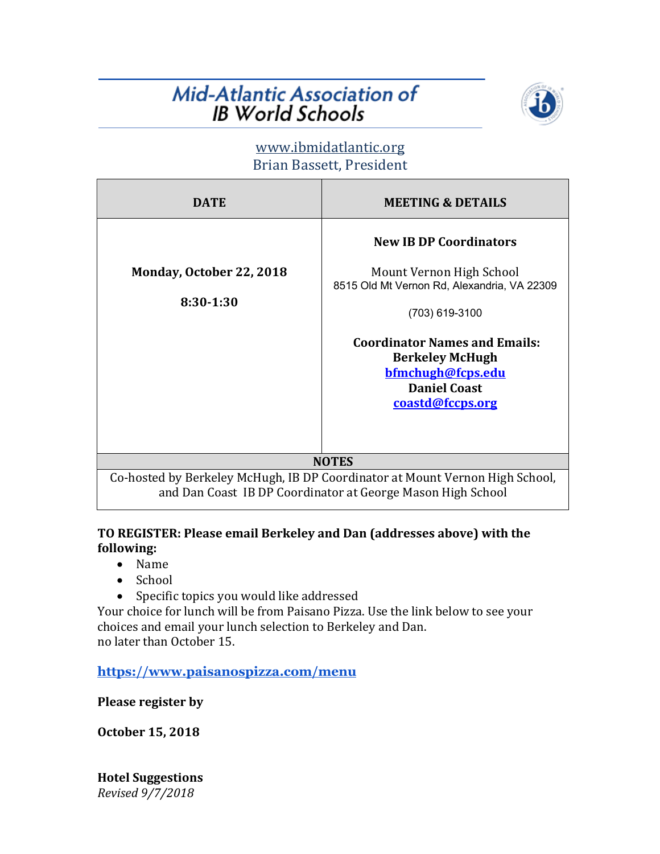## **Mid-Atlantic Association of IB World Schools**



### www.ibmidatlantic.org Brian Bassett, President

| DATE                                                                                                                                        | <b>MEETING &amp; DETAILS</b>                                                                                                                                                                                                                                 |
|---------------------------------------------------------------------------------------------------------------------------------------------|--------------------------------------------------------------------------------------------------------------------------------------------------------------------------------------------------------------------------------------------------------------|
| Monday, October 22, 2018<br>8:30-1:30                                                                                                       | <b>New IB DP Coordinators</b><br>Mount Vernon High School<br>8515 Old Mt Vernon Rd, Alexandria, VA 22309<br>(703) 619-3100<br><b>Coordinator Names and Emails:</b><br><b>Berkeley McHugh</b><br>bfmchugh@fcps.edu<br><b>Daniel Coast</b><br>coastd@fccps.org |
| <b>NOTES</b>                                                                                                                                |                                                                                                                                                                                                                                                              |
| Co-hosted by Berkeley McHugh, IB DP Coordinator at Mount Vernon High School,<br>and Dan Coast IB DP Coordinator at George Mason High School |                                                                                                                                                                                                                                                              |

#### TO REGISTER: Please email Berkeley and Dan (addresses above) with the **following:**

- Name
- School
- Specific topics you would like addressed

Your choice for lunch will be from Paisano Pizza. Use the link below to see your choices and email your lunch selection to Berkeley and Dan. no later than October 15.

**https://www.paisanospizza.com/menu**

**Please register by** 

**October 15, 2018**

*Revised 9/7/2018* **Hotel Suggestions**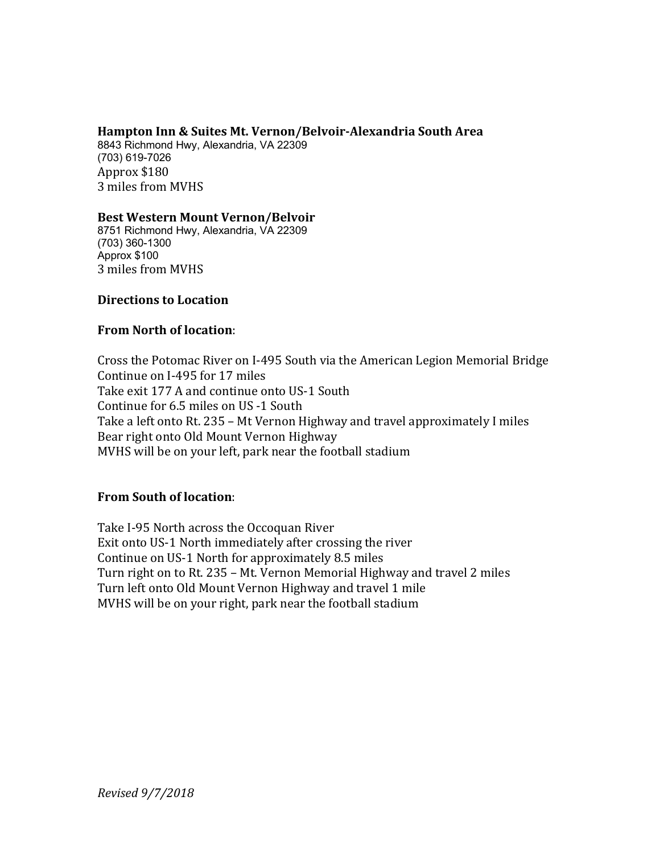#### **Hampton Inn & Suites Mt. Vernon/Belvoir-Alexandria South Area**

8843 Richmond Hwy, Alexandria, VA 22309 (703) 619-7026 Approx \$180 3 miles from MVHS

#### **Best Western Mount Vernon/Belvoir**

8751 Richmond Hwy, Alexandria, VA 22309 (703) 360-1300 Approx \$100 3 miles from MVHS

#### **Directions to Location**

#### **From North of location:**

Cross the Potomac River on I-495 South via the American Legion Memorial Bridge Continue on I-495 for 17 miles Take exit 177 A and continue onto US-1 South Continue for 6.5 miles on US -1 South Take a left onto Rt. 235 - Mt Vernon Highway and travel approximately I miles Bear right onto Old Mount Vernon Highway MVHS will be on your left, park near the football stadium

#### **From South of location:**

Take I-95 North across the Occoquan River Exit onto US-1 North immediately after crossing the river Continue on US-1 North for approximately 8.5 miles Turn right on to Rt. 235 – Mt. Vernon Memorial Highway and travel 2 miles Turn left onto Old Mount Vernon Highway and travel 1 mile MVHS will be on your right, park near the football stadium